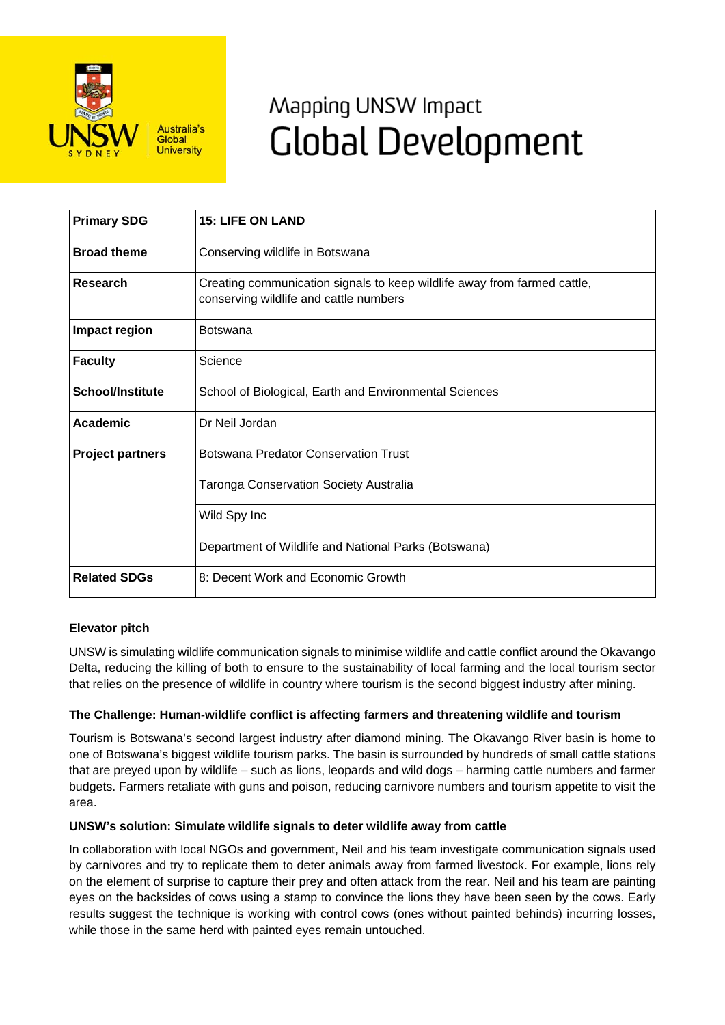

# Mapping UNSW Impact **Global Development**

| <b>Primary SDG</b>      | <b>15: LIFE ON LAND</b>                                                                                            |
|-------------------------|--------------------------------------------------------------------------------------------------------------------|
| <b>Broad theme</b>      | Conserving wildlife in Botswana                                                                                    |
| Research                | Creating communication signals to keep wildlife away from farmed cattle,<br>conserving wildlife and cattle numbers |
| Impact region           | <b>Botswana</b>                                                                                                    |
| <b>Faculty</b>          | Science                                                                                                            |
| <b>School/Institute</b> | School of Biological, Earth and Environmental Sciences                                                             |
| <b>Academic</b>         | Dr Neil Jordan                                                                                                     |
| <b>Project partners</b> | <b>Botswana Predator Conservation Trust</b>                                                                        |
|                         | <b>Taronga Conservation Society Australia</b>                                                                      |
|                         | Wild Spy Inc                                                                                                       |
|                         | Department of Wildlife and National Parks (Botswana)                                                               |
| <b>Related SDGs</b>     | 8: Decent Work and Economic Growth                                                                                 |

## **Elevator pitch**

UNSW is simulating wildlife communication signals to minimise wildlife and cattle conflict around the Okavango Delta, reducing the killing of both to ensure to the sustainability of local farming and the local tourism sector that relies on the presence of wildlife in country where tourism is the second biggest industry after mining.

## **The Challenge: Human-wildlife conflict is affecting farmers and threatening wildlife and tourism**

Tourism is Botswana's second largest industry after diamond mining. The Okavango River basin is home to one of Botswana's biggest wildlife tourism parks. The basin is surrounded by hundreds of small cattle stations that are preyed upon by wildlife – such as lions, leopards and wild dogs – harming cattle numbers and farmer budgets. Farmers retaliate with guns and poison, reducing carnivore numbers and tourism appetite to visit the area.

## **UNSW's solution: Simulate wildlife signals to deter wildlife away from cattle**

In collaboration with local NGOs and government, Neil and his team investigate communication signals used by carnivores and try to replicate them to deter animals away from farmed livestock. For example, lions rely on the element of surprise to capture their prey and often attack from the rear. Neil and his team are painting eyes on the backsides of cows using a stamp to convince the lions they have been seen by the cows. Early results suggest the technique is working with control cows (ones without painted behinds) incurring losses, while those in the same herd with painted eyes remain untouched.